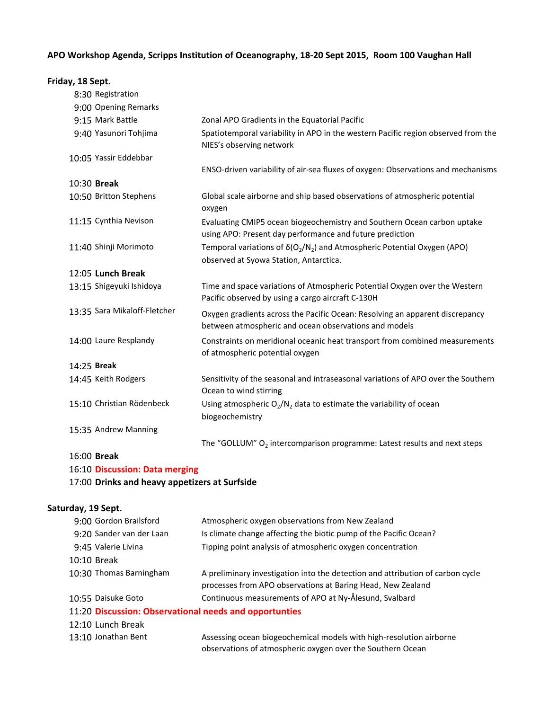### **APO Workshop Agenda, Scripps Institution of Oceanography, 18‐20 Sept 2015, Room 100 Vaughan Hall**

#### **Friday, 18 Sept.**

|             | 8:30 Registration              |                                                                                                                                       |
|-------------|--------------------------------|---------------------------------------------------------------------------------------------------------------------------------------|
|             | 9:00 Opening Remarks           |                                                                                                                                       |
|             | 9:15 Mark Battle               | Zonal APO Gradients in the Equatorial Pacific                                                                                         |
|             | 9:40 Yasunori Tohjima          | Spatiotemporal variability in APO in the western Pacific region observed from the<br>NIES's observing network                         |
|             | 10:05 Yassir Eddebbar          |                                                                                                                                       |
|             |                                | ENSO-driven variability of air-sea fluxes of oxygen: Observations and mechanisms                                                      |
|             | 10:30 Break                    |                                                                                                                                       |
|             | 10:50 Britton Stephens         | Global scale airborne and ship based observations of atmospheric potential<br>oxygen                                                  |
|             | 11:15 Cynthia Nevison          | Evaluating CMIP5 ocean biogeochemistry and Southern Ocean carbon uptake<br>using APO: Present day performance and future prediction   |
|             | 11:40 Shinji Morimoto          | Temporal variations of $\delta(O_2/N_2)$ and Atmospheric Potential Oxygen (APO)                                                       |
|             |                                | observed at Syowa Station, Antarctica.                                                                                                |
|             | 12:05 Lunch Break              |                                                                                                                                       |
|             | 13:15 Shigeyuki Ishidoya       | Time and space variations of Atmospheric Potential Oxygen over the Western<br>Pacific observed by using a cargo aircraft C-130H       |
|             | 13:35 Sara Mikaloff-Fletcher   | Oxygen gradients across the Pacific Ocean: Resolving an apparent discrepancy<br>between atmospheric and ocean observations and models |
|             | 14:00 Laure Resplandy          | Constraints on meridional oceanic heat transport from combined measurements<br>of atmospheric potential oxygen                        |
| 14:25 Break |                                |                                                                                                                                       |
|             | 14:45 Keith Rodgers            | Sensitivity of the seasonal and intraseasonal variations of APO over the Southern<br>Ocean to wind stirring                           |
|             | 15:10 Christian Rödenbeck      | Using atmospheric $O_2/N_2$ data to estimate the variability of ocean<br>biogeochemistry                                              |
|             | 15:35 Andrew Manning           |                                                                                                                                       |
|             |                                | The "GOLLUM" $O_2$ intercomparison programme: Latest results and next steps                                                           |
| 16:00 Break |                                |                                                                                                                                       |
|             | 16:10 Discussion: Data merging |                                                                                                                                       |

# 17:00 **Drinks and heavy appetizers at Surfside**

### **Saturday, 19 Sept.**

| 9:00 Gordon Brailsford                                 | Atmospheric oxygen observations from New Zealand                                                                                              |  |  |  |  |
|--------------------------------------------------------|-----------------------------------------------------------------------------------------------------------------------------------------------|--|--|--|--|
| 9:20 Sander van der Laan                               | Is climate change affecting the biotic pump of the Pacific Ocean?                                                                             |  |  |  |  |
| 9:45 Valerie Livina                                    | Tipping point analysis of atmospheric oxygen concentration                                                                                    |  |  |  |  |
| 10:10 Break                                            |                                                                                                                                               |  |  |  |  |
| 10:30 Thomas Barningham                                | A preliminary investigation into the detection and attribution of carbon cycle<br>processes from APO observations at Baring Head, New Zealand |  |  |  |  |
| 10:55 Daisuke Goto                                     | Continuous measurements of APO at Ny-Ålesund, Svalbard                                                                                        |  |  |  |  |
| 11:20 Discussion: Observational needs and opportunties |                                                                                                                                               |  |  |  |  |
| 12:10 Lunch Break                                      |                                                                                                                                               |  |  |  |  |
| 13:10 Jonathan Bent                                    | Assessing ocean biogeochemical models with high-resolution airborne                                                                           |  |  |  |  |

observations of atmospheric oxygen over the Southern Ocean